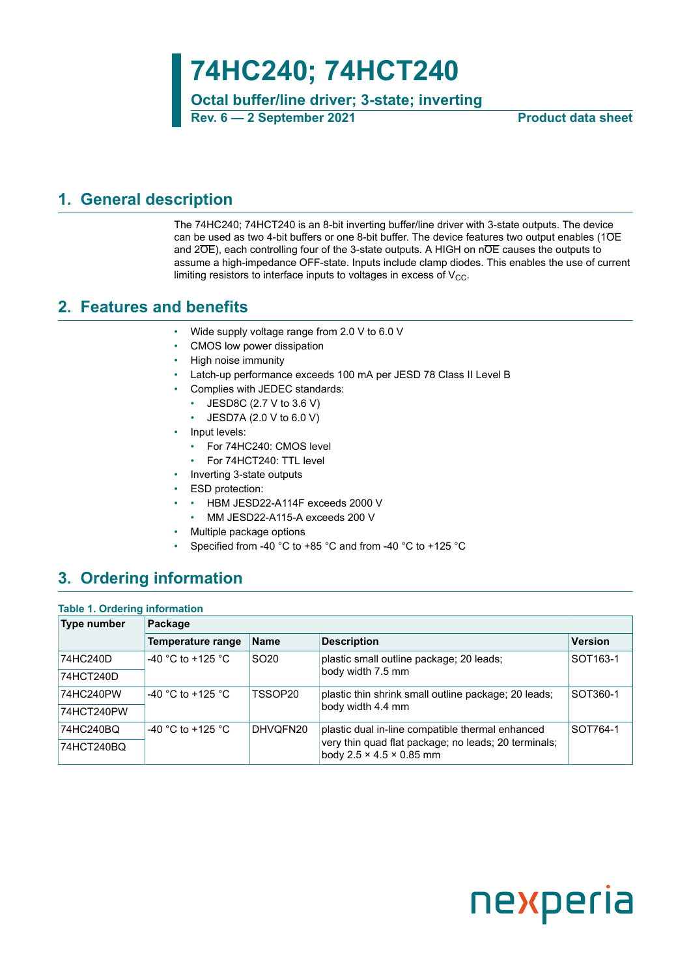**74HC240; 74HCT240**

**Octal buffer/line driver; 3-state; inverting Rev. 6 — 2 September 2021 Product data sheet**

### <span id="page-0-1"></span>**1. General description**

The 74HC240; 74HCT240 is an 8-bit inverting buffer/line driver with 3-state outputs. The device can be used as two 4-bit buffers or one 8-bit buffer. The device features two output enables (1OE and 2OE), each controlling four of the 3-state outputs. A HIGH on nOE causes the outputs to assume a high-impedance OFF-state. Inputs include clamp diodes. This enables the use of current limiting resistors to interface inputs to voltages in excess of  $V_{CC}$ .

### <span id="page-0-0"></span>**2. Features and benefits**

- Wide supply voltage range from 2.0 V to 6.0 V
- CMOS low power dissipation
- High noise immunity
- Latch-up performance exceeds 100 mA per JESD 78 Class II Level B
- Complies with JEDEC standards:
- JESD8C (2.7 V to 3.6 V)
- JESD7A (2.0 V to 6.0 V)
- Input levels:
	- For 74HC240: CMOS level
	- For 74HCT240: TTL level
- Inverting 3-state outputs
- **ESD** protection:
	- HBM JFSD22-A114F exceeds 2000 V
	- MM JESD22-A115-A exceeds 200 V
- Multiple package options
- Specified from -40 °C to +85 °C and from -40 °C to +125 °C

### <span id="page-0-2"></span>**3. Ordering information**

| <b>Table 1. Ordering information</b> |                   |                  |                                                                                              |                      |  |  |  |
|--------------------------------------|-------------------|------------------|----------------------------------------------------------------------------------------------|----------------------|--|--|--|
| Type number                          | Package           |                  |                                                                                              |                      |  |  |  |
|                                      | Temperature range | <b>Name</b>      | <b>Description</b>                                                                           | <b>Version</b>       |  |  |  |
| 74HC240D                             | -40 °C to +125 °C | SO <sub>20</sub> | plastic small outline package; 20 leads;                                                     | SOT <sub>163-1</sub> |  |  |  |
| 74HCT240D                            |                   |                  | body width 7.5 mm                                                                            |                      |  |  |  |
| 74HC240PW                            | -40 °C to +125 °C | TSSOP20          | plastic thin shrink small outline package; 20 leads;                                         | SOT360-1             |  |  |  |
| 74HCT240PW                           |                   |                  | body width 4.4 mm                                                                            |                      |  |  |  |
| -40 °C to +125 °C<br>74HC240BQ       |                   | DHVQFN20         | plastic dual in-line compatible thermal enhanced                                             | SOT764-1             |  |  |  |
| 74HCT240BQ                           |                   |                  | very thin quad flat package; no leads; 20 terminals;<br>body $2.5 \times 4.5 \times 0.85$ mm |                      |  |  |  |

# nexperia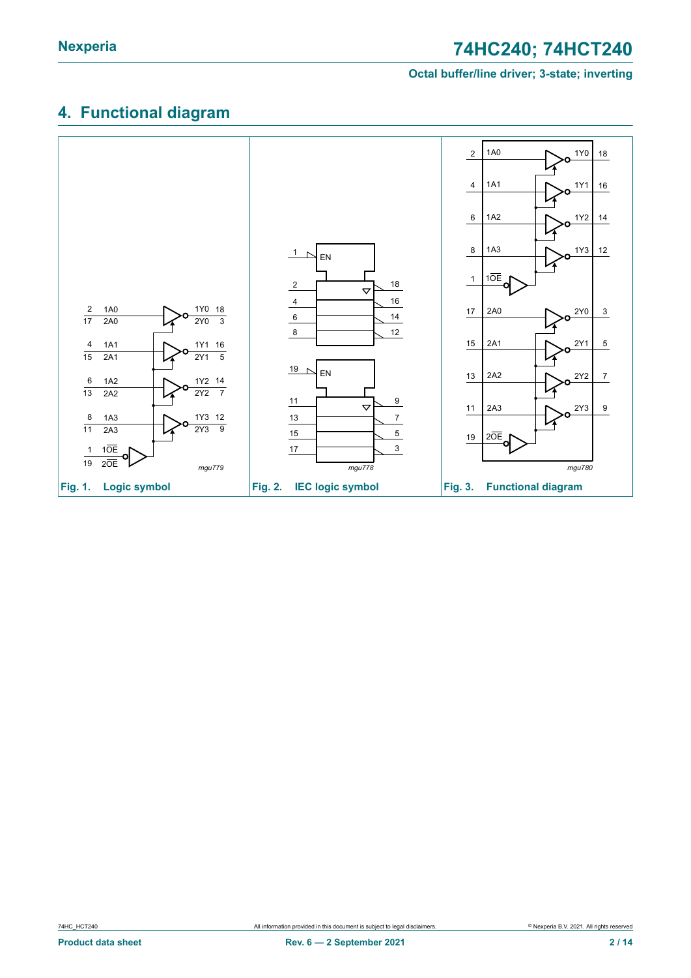### **Octal buffer/line driver; 3-state; inverting**

## <span id="page-1-0"></span>**4. Functional diagram**

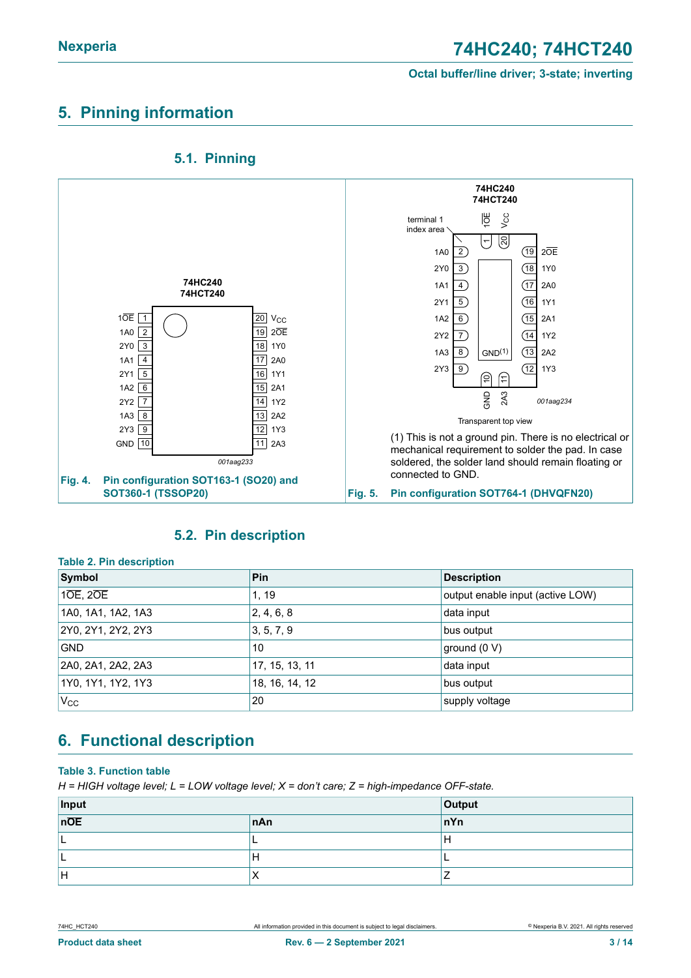### <span id="page-2-0"></span>**5. Pinning information**



### <span id="page-2-1"></span>**5.1. Pinning**

### <span id="page-2-2"></span>**5.2. Pin description**

#### **Table 2. Pin description**

| Symbol             | <b>Pin</b>     | <b>Description</b>               |
|--------------------|----------------|----------------------------------|
| 10E, 20E           | 1, 19          | output enable input (active LOW) |
| 1A0, 1A1, 1A2, 1A3 | 2, 4, 6, 8     | data input                       |
| 2Y0, 2Y1, 2Y2, 2Y3 | 3, 5, 7, 9     | bus output                       |
| <b>GND</b>         | 10             | ground (0 V)                     |
| 2A0, 2A1, 2A2, 2A3 | 17, 15, 13, 11 | data input                       |
| 1Y0, 1Y1, 1Y2, 1Y3 | 18, 16, 14, 12 | bus output                       |
| $V_{CC}$           | 20             | supply voltage                   |

### <span id="page-2-3"></span>**6. Functional description**

#### **Table 3. Function table**

*H = HIGH voltage level; L = LOW voltage level; X = don't care; Z = high-impedance OFF-state.*

| $\frac{Input}{nOE}$ | Output |     |
|---------------------|--------|-----|
|                     | nAn    | nYn |
|                     |        | Ħ   |
|                     |        |     |
| ΙH                  |        |     |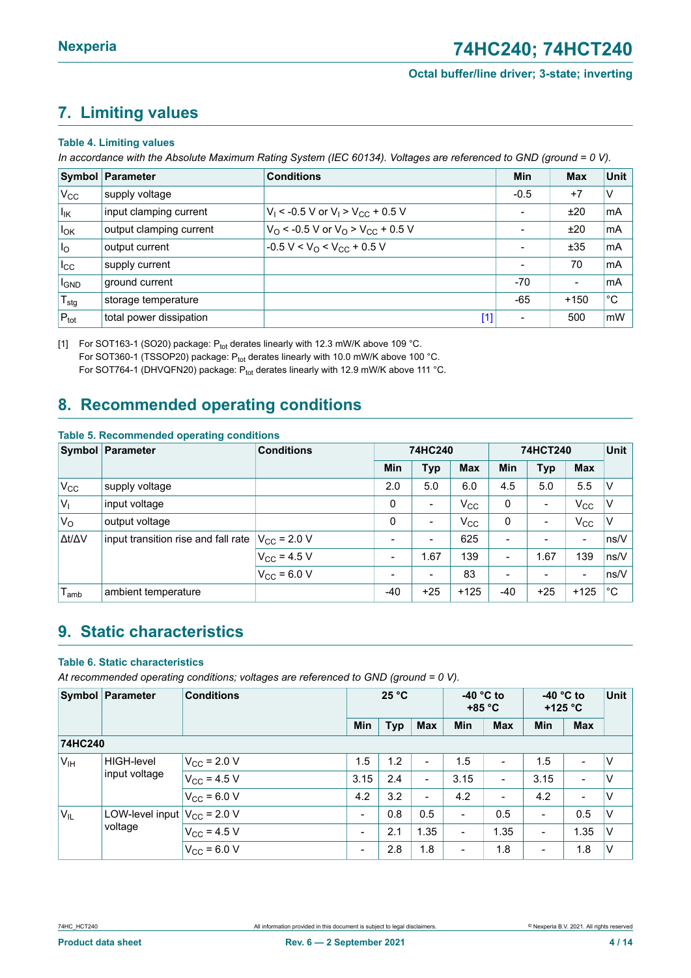### <span id="page-3-2"></span><span id="page-3-0"></span>**7. Limiting values**

#### <span id="page-3-1"></span>**Table 4. Limiting values**

In accordance with the Absolute Maximum Rating System (IEC 60134). Voltages are referenced to GND (ground = 0 V).

|                  | <b>Symbol Parameter</b> | <b>Conditions</b>                                               | Min                      | <b>Max</b>               | Unit |
|------------------|-------------------------|-----------------------------------------------------------------|--------------------------|--------------------------|------|
| $V_{CC}$         | supply voltage          |                                                                 | $-0.5$                   | $+7$                     | v    |
| $I_{IK}$         | input clamping current  | $V_1$ < -0.5 V or $V_1$ > $V_{CC}$ + 0.5 V                      | $\blacksquare$           | ±20                      | mA   |
| $I_{OK}$         | output clamping current | $V_{\Omega}$ < -0.5 V or $V_{\Omega}$ > $V_{\text{CC}}$ + 0.5 V | $\blacksquare$           | ±20                      | mA   |
| I <sub>O</sub>   | output current          | $-0.5 V < VO < VCC + 0.5 V$                                     | $\blacksquare$           | ±35                      | mA   |
| $I_{\rm CC}$     | supply current          |                                                                 | $\overline{\phantom{a}}$ | 70                       | mA   |
| <b>I</b> GND     | ground current          |                                                                 | $-70$                    | $\overline{\phantom{a}}$ | mA   |
| $T_{\text{stg}}$ | storage temperature     |                                                                 | $-65$                    | $+150$                   | °C   |
| $P_{\text{tot}}$ | total power dissipation | [1]                                                             | $\overline{\phantom{a}}$ | 500                      | mW   |

[1] For SOT163-1 (SO20) package:  $P_{tot}$  derates linearly with 12.3 mW/K above 109 °C. For SOT360-1 (TSSOP20) package: Ptot derates linearly with 10.0 mW/K above 100 °C. For SOT764-1 (DHVQFN20) package: P<sub>tot</sub> derates linearly with 12.9 mW/K above 111 °C.

### <span id="page-3-3"></span>**8. Recommended operating conditions**

|                     | Symbol Parameter                    | <b>Conditions</b>       |                          | 74HC240                  |              | 74HCT240                 |                          |                | <b>Unit</b>               |
|---------------------|-------------------------------------|-------------------------|--------------------------|--------------------------|--------------|--------------------------|--------------------------|----------------|---------------------------|
|                     |                                     |                         | Min                      | <b>Typ</b>               | <b>Max</b>   | Min                      | <b>Typ</b>               | <b>Max</b>     |                           |
| $V_{CC}$            | supply voltage                      |                         | 2.0                      | 5.0                      | 6.0          | 4.5                      | 5.0                      | 5.5            | IV                        |
| $V_1$               | input voltage                       |                         | 0                        | $\blacksquare$           | $V_{\rm CC}$ | 0                        | $\blacksquare$           | $V_{\rm CC}$   | ١V                        |
| 'V <sub>o</sub>     | output voltage                      |                         | $\mathbf{0}$             | $\overline{\phantom{a}}$ | $V_{\rm CC}$ | 0                        | $\overline{\phantom{a}}$ | $V_{\rm CC}$   | ١v                        |
| $\Delta t/\Delta V$ | input transition rise and fall rate | $V_{\rm CC}$ = 2.0 V    | $\overline{\phantom{0}}$ | $\overline{\phantom{a}}$ | 625          | $\overline{\phantom{a}}$ | $\overline{\phantom{a}}$ | $\blacksquare$ | $\mathsf{Ins}\mathcal{N}$ |
|                     |                                     | $V_{\text{CC}}$ = 4.5 V | $\overline{\phantom{a}}$ | 1.67                     | 139          | $\overline{\phantom{a}}$ | 1.67                     | 139            | $\mathsf{lns}/\mathsf{V}$ |
|                     |                                     | $V_{CC}$ = 6.0 V        | $\overline{\phantom{0}}$ | $\overline{\phantom{a}}$ | 83           | $\overline{\phantom{a}}$ | $\overline{\phantom{0}}$ | $\blacksquare$ | ns/V                      |
| $T_{amb}$           | ambient temperature                 |                         | $-40$                    | $+25$                    | $+125$       | $-40$                    | $+25$                    | $+125$         | $^{\circ}$ C              |

#### **Table 5. Recommended operating conditions**

### <span id="page-3-4"></span>**9. Static characteristics**

#### **Table 6. Static characteristics**

*At recommended operating conditions; voltages are referenced to GND (ground = 0 V).*

| Symbol Parameter |                                              | <b>Conditions</b>       | 25 °C                    |            |                          | -40 $^{\circ}$ C to<br>$+85 °C$ |                          | $-40$ °C to<br>$+125 °C$ |                | Unit |
|------------------|----------------------------------------------|-------------------------|--------------------------|------------|--------------------------|---------------------------------|--------------------------|--------------------------|----------------|------|
|                  |                                              |                         | Min                      | <b>Typ</b> | <b>Max</b>               | Min                             | <b>Max</b>               | Min                      | <b>Max</b>     |      |
| 74HC240          |                                              |                         |                          |            |                          |                                 |                          |                          |                |      |
| V <sub>IH</sub>  | <b>HIGH-level</b>                            | $V_{\rm CC}$ = 2.0 V    | 1.5                      | 1.2        | -                        | 1.5                             | $\overline{\phantom{a}}$ | 1.5                      | $\blacksquare$ | IV   |
|                  | input voltage                                | $V_{CC}$ = 4.5 V        | 3.15                     | 2.4        | -                        | 3.15                            |                          | 3.15                     | $\blacksquare$ | ١v   |
|                  |                                              | $V_{CC}$ = 6.0 V        | 4.2                      | 3.2        | $\overline{\phantom{0}}$ | 4.2                             | $\overline{\phantom{0}}$ | 4.2                      | $\blacksquare$ | ١v   |
| $V_{IL}$         | LOW-level input $ V_{CC}$ = 2.0 V<br>voltage |                         | $\overline{\phantom{a}}$ | 0.8        | 0.5                      | $\blacksquare$                  | 0.5                      | $\overline{\phantom{a}}$ | 0.5            | ΙV   |
|                  |                                              | $V_{CC}$ = 4.5 V        | $\overline{\phantom{a}}$ | 2.1        | 1.35                     | $\overline{\phantom{a}}$        | 1.35                     | $\overline{\phantom{a}}$ | 1.35           | ١v   |
|                  |                                              | $V_{\text{CC}}$ = 6.0 V | $\overline{\phantom{0}}$ | 2.8        | 1.8                      | $\overline{\phantom{a}}$        | 1.8                      | $\overline{\phantom{a}}$ | 1.8            | ۱v   |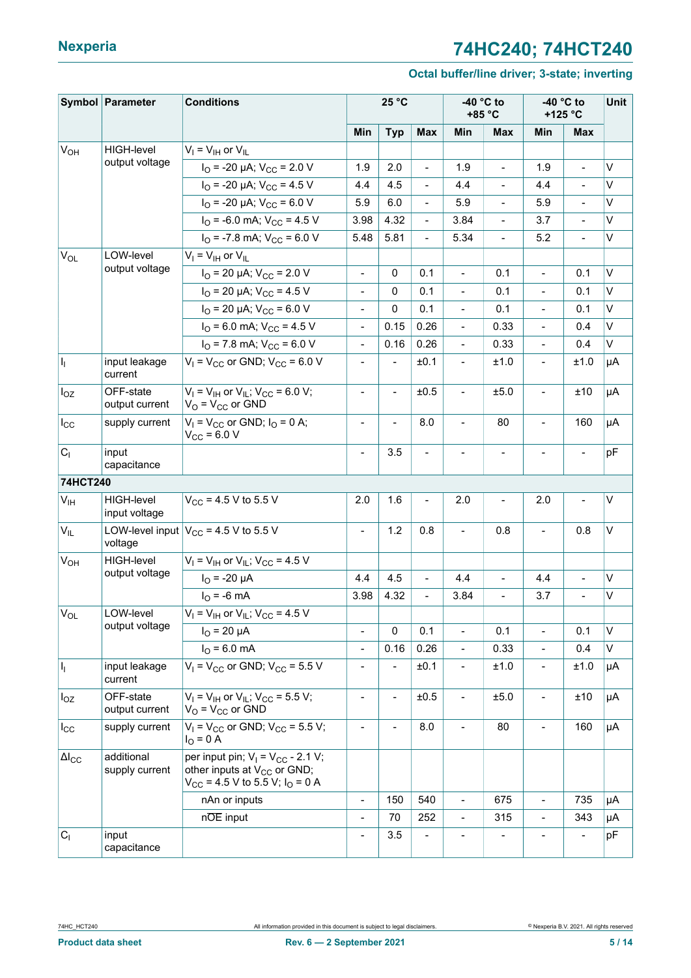### **Octal buffer/line driver; 3-state; inverting**

|                       | Symbol Parameter                   | <b>Conditions</b>                                                                                                              | 25 °C                    |                          |                          |                              | -40 $^{\circ}$ C to<br>+85 °C |                              | -40 °C to<br>+125 °C     | Unit         |  |
|-----------------------|------------------------------------|--------------------------------------------------------------------------------------------------------------------------------|--------------------------|--------------------------|--------------------------|------------------------------|-------------------------------|------------------------------|--------------------------|--------------|--|
|                       |                                    |                                                                                                                                | <b>Min</b>               | <b>Typ</b>               | <b>Max</b>               | Min                          | Max                           | Min                          | <b>Max</b>               |              |  |
| <b>V<sub>OH</sub></b> | <b>HIGH-level</b>                  | $V_I = V_{IH}$ or $V_{IL}$                                                                                                     |                          |                          |                          |                              |                               |                              |                          |              |  |
|                       | output voltage                     | $I_{\Omega}$ = -20 µA; $V_{\text{CC}}$ = 2.0 V                                                                                 | 1.9                      | 2.0                      | $\blacksquare$           | 1.9                          | $\blacksquare$                | 1.9                          | $\overline{\phantom{a}}$ | $\vee$       |  |
|                       |                                    | $I_{\text{O}}$ = -20 µA; $V_{\text{CC}}$ = 4.5 V                                                                               | 4.4                      | 4.5                      | $\blacksquare$           | 4.4                          | $\blacksquare$                | 4.4                          | $\blacksquare$           | $\vee$       |  |
|                       |                                    | $I_{\text{O}}$ = -20 µA; $V_{\text{CC}}$ = 6.0 V                                                                               | 5.9                      | 6.0                      | $\overline{\phantom{a}}$ | 5.9                          |                               | 5.9                          | $\blacksquare$           | $\vee$       |  |
|                       |                                    | $IO$ = -6.0 mA; $VCC$ = 4.5 V                                                                                                  | 3.98                     | 4.32                     | $\overline{\phantom{0}}$ | 3.84                         | $\blacksquare$                | 3.7                          | $\blacksquare$           | $\vee$       |  |
|                       |                                    | $I_{\Omega}$ = -7.8 mA; $V_{\text{CC}}$ = 6.0 V                                                                                | 5.48                     | 5.81                     | $\overline{\phantom{a}}$ | 5.34                         | $\overline{\phantom{a}}$      | 5.2                          | $\blacksquare$           | $\vee$       |  |
| $V_{OL}$              | LOW-level                          | $V_I = V_{IH}$ or $V_{IL}$                                                                                                     |                          |                          |                          |                              |                               |                              |                          |              |  |
|                       | output voltage                     | $I_{\text{O}}$ = 20 µA; $V_{\text{CC}}$ = 2.0 V                                                                                | $\overline{\phantom{0}}$ | 0                        | 0.1                      | $\blacksquare$               | 0.1                           | $\qquad \qquad \blacksquare$ | 0.1                      | $\vee$       |  |
|                       |                                    | $I_{\text{O}}$ = 20 µA; $V_{\text{CC}}$ = 4.5 V                                                                                |                          | 0                        | 0.1                      | $\overline{a}$               | 0.1                           | $\overline{\phantom{a}}$     | 0.1                      | $\vee$       |  |
|                       |                                    | $I_{\text{O}}$ = 20 µA; $V_{\text{CC}}$ = 6.0 V                                                                                | $\overline{a}$           | 0                        | 0.1                      | $\qquad \qquad \blacksquare$ | 0.1                           | $\frac{1}{2}$                | 0.1                      | V            |  |
|                       |                                    | $IO$ = 6.0 mA; $VCC$ = 4.5 V                                                                                                   | $\overline{a}$           | 0.15                     | 0.26                     | $\overline{a}$               | 0.33                          | $\blacksquare$               | 0.4                      | $\vee$       |  |
|                       |                                    | $I_{\text{O}}$ = 7.8 mA; $V_{\text{CC}}$ = 6.0 V                                                                               | $\overline{\phantom{0}}$ | 0.16                     | 0.26                     | $\blacksquare$               | 0.33                          | $\overline{\phantom{a}}$     | 0.4                      | V            |  |
| h                     | input leakage<br>current           | $V_1$ = $V_{CC}$ or GND; $V_{CC}$ = 6.0 V                                                                                      |                          |                          | ±0.1                     |                              | ±1.0                          | $\blacksquare$               | ±1.0                     | μA           |  |
| $I_{OZ}$              | OFF-state<br>output current        | $V_1 = V_{1H}$ or $V_{1L}$ ; $V_{CC} = 6.0 V$ ;<br>$V_{O}$ = $V_{CC}$ or GND                                                   | $\overline{\phantom{0}}$ |                          | ±0.5                     | $\frac{1}{2}$                | ±5.0                          | $\frac{1}{2}$                | ±10                      | μA           |  |
| $I_{\rm CC}$          | supply current                     | $V_1$ = $V_{CC}$ or GND; $I_Q$ = 0 A;<br>$V_{CC} = 6.0 V$                                                                      | $\frac{1}{2}$            | $\overline{a}$           | 8.0                      | $\blacksquare$               | 80                            | $\overline{\phantom{a}}$     | 160                      | μA           |  |
| C <sub>1</sub>        | input<br>capacitance               |                                                                                                                                | $\overline{a}$           | 3.5                      |                          |                              |                               |                              |                          | pF           |  |
| 74HCT240              |                                    |                                                                                                                                |                          |                          |                          |                              |                               |                              |                          |              |  |
| V <sub>IH</sub>       | <b>HIGH-level</b><br>input voltage | $V_{CC}$ = 4.5 V to 5.5 V                                                                                                      | 2.0                      | 1.6                      | $\overline{\phantom{a}}$ | 2.0                          |                               | 2.0                          | $\blacksquare$           | $\vee$       |  |
| $V_{IL}$              | LOW-level input<br>voltage         | $V_{CC}$ = 4.5 V to 5.5 V                                                                                                      | $\frac{1}{2}$            | 1.2                      | 0.8                      | $\overline{a}$               | 0.8                           |                              | 0.8                      | $\mathsf{V}$ |  |
| $V_{OH}$              | <b>HIGH-level</b>                  | $V_1$ = $V_{\text{IH}}$ or $V_{\text{IL}}$ ; $V_{\text{CC}}$ = 4.5 V                                                           |                          |                          |                          |                              |                               |                              |                          |              |  |
|                       | output voltage                     | $I_{\Omega}$ = -20 µA                                                                                                          | 4.4                      | 4.5                      |                          | 4.4                          |                               | 4.4                          |                          | $\vee$       |  |
|                       |                                    | $I_{O} = -6$ mA                                                                                                                | 3.98                     | 4.32                     | $\frac{1}{2}$            | 3.84                         | $\overline{\phantom{a}}$      | 3.7                          | $\blacksquare$           | $\sf V$      |  |
| $\overline{V}_{OL}$   | LOW-level                          | $V_1 = V_{1H}$ or $V_{1L}$ ; $V_{CC} = 4.5$ V                                                                                  |                          |                          |                          |                              |                               |                              |                          |              |  |
|                       | output voltage                     | $I_{\Omega}$ = 20 µA                                                                                                           | $\overline{a}$           | 0                        | 0.1                      | $\overline{a}$               | 0.1                           | $\overline{\phantom{a}}$     | 0.1                      | $\vee$       |  |
|                       |                                    | $I_{\text{O}}$ = 6.0 mA                                                                                                        |                          | 0.16                     | 0.26                     |                              | 0.33                          | -                            | 0.4                      | V            |  |
| $\vert I_1 \vert$     | input leakage<br>current           | $V_1$ = $V_{CC}$ or GND; $V_{CC}$ = 5.5 V                                                                                      | $\overline{a}$           |                          | ±0.1                     | $\qquad \qquad \blacksquare$ | ±1.0                          | $\blacksquare$               | ±1.0                     | μA           |  |
| $I_{OZ}$              | OFF-state<br>output current        | $V_1 = V_{1H}$ or $V_{1L}$ ; $V_{CC} = 5.5 V$ ;<br>$V_{O}$ = $V_{CC}$ or GND                                                   |                          |                          | ±0.5                     |                              | ±5.0                          | -                            | ±10                      | μA           |  |
| $I_{\rm CC}$          | supply current                     | $V_1$ = $V_{CC}$ or GND; $V_{CC}$ = 5.5 V;<br>$I_{\rm O} = 0$ A                                                                | $\overline{a}$           | $\overline{\phantom{0}}$ | 8.0                      | $\overline{a}$               | 80                            |                              | 160                      | μA           |  |
| $\Delta I_{CC}$       | additional<br>supply current       | per input pin; $V_1 = V_{CC} - 2.1 V$ ;<br>other inputs at V <sub>CC</sub> or GND;<br>$V_{CC}$ = 4.5 V to 5.5 V; $I_{O}$ = 0 A |                          |                          |                          |                              |                               |                              |                          |              |  |
|                       |                                    | nAn or inputs                                                                                                                  | $\overline{a}$           | 150                      | 540                      | $\overline{a}$               | 675                           | $\overline{a}$               | 735                      | μA           |  |
|                       |                                    | nOE input                                                                                                                      |                          | 70                       | 252                      | $\overline{a}$               | 315                           | $\overline{\phantom{a}}$     | 343                      | μA           |  |
| C <sub>1</sub>        | input<br>capacitance               |                                                                                                                                |                          | 3.5                      |                          |                              |                               |                              | $\overline{\phantom{a}}$ | pF           |  |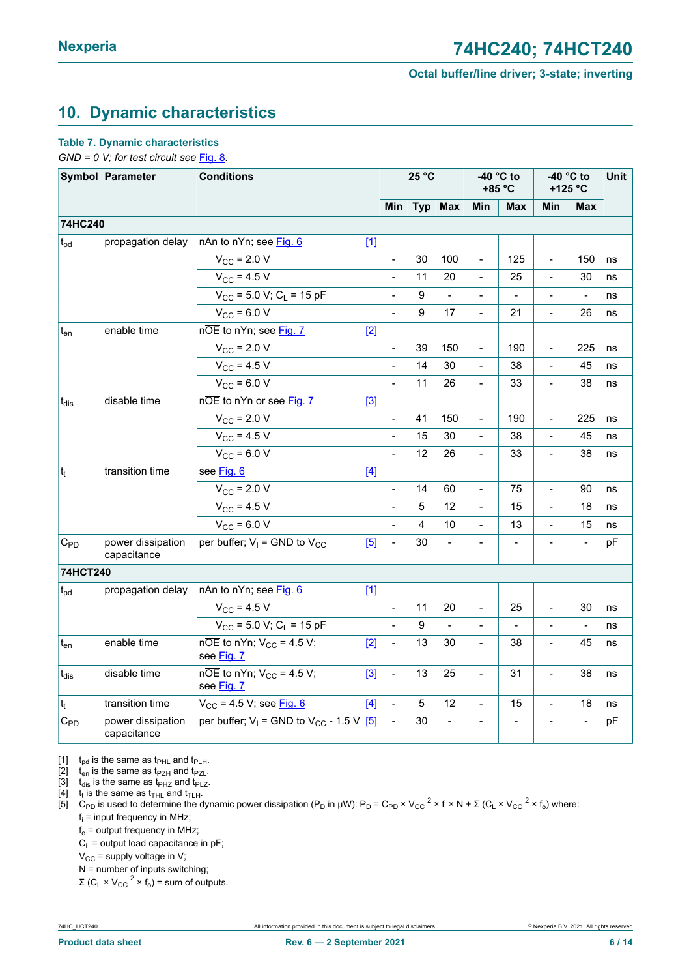# <span id="page-5-1"></span><span id="page-5-0"></span>**10. Dynamic characteristics**

### **Table 7. Dynamic characteristics**

*GND = 0 V; for test circuit see [Fig. 8](#page-7-0).* 

|                               | Symbol Parameter<br><b>Conditions</b> |                                                                   |                          | 25 °C      |                   | -40 °C to<br>+85 °C |            | -40 °C to<br>+125 $°C$   |                              | Unit |
|-------------------------------|---------------------------------------|-------------------------------------------------------------------|--------------------------|------------|-------------------|---------------------|------------|--------------------------|------------------------------|------|
|                               |                                       |                                                                   | <b>Min</b>               | <b>Typ</b> | <b>Max</b>        | Min                 | <b>Max</b> | Min                      | <b>Max</b>                   |      |
|                               | 74HC240                               |                                                                   |                          |            |                   |                     |            |                          |                              |      |
| propagation delay<br>$t_{pd}$ |                                       | nAn to nYn; see Fig. 6<br>$[1]$                                   |                          |            |                   |                     |            |                          |                              |      |
|                               |                                       | $V_{\text{CC}}$ = 2.0 V                                           | $\overline{\phantom{0}}$ | 30         | 100               | $\blacksquare$      | 125        | $\frac{1}{2}$            | 150                          | ns   |
|                               |                                       | $V_{CC}$ = 4.5 V                                                  |                          | 11         | 20                | $\blacksquare$      | 25         | $\overline{\phantom{0}}$ | 30                           | ns   |
|                               |                                       | $V_{CC}$ = 5.0 V; C <sub>L</sub> = 15 pF                          | $\overline{a}$           | 9          |                   |                     |            | $\blacksquare$           | $\blacksquare$               | ns   |
|                               |                                       | $V_{CC}$ = 6.0 V                                                  |                          | 9          | 17                |                     | 21         | $\overline{a}$           | 26                           | ns   |
| $t_{en}$                      | enable time                           | nOE to nYn; see Fig. 7<br>$[2]$                                   |                          |            |                   |                     |            |                          |                              |      |
|                               |                                       | $V_{\rm CC}$ = 2.0 V                                              | $\overline{\phantom{0}}$ | 39         | 150               | $\blacksquare$      | 190        | $\overline{a}$           | 225                          | ns   |
|                               |                                       | $V_{\rm CC}$ = 4.5 V                                              |                          | 14         | 30                |                     | 38         |                          | 45                           | ns   |
|                               |                                       | $V_{CC}$ = 6.0 V                                                  | $\overline{\phantom{a}}$ | 11         | 26                | $\blacksquare$      | 33         | $\frac{1}{2}$            | 38                           | ns   |
| t <sub>dis</sub>              | disable time                          | nOE to nYn or see Fig. 7<br>$[3]$                                 |                          |            |                   |                     |            |                          |                              |      |
|                               |                                       | $V_{CC}$ = 2.0 V                                                  |                          | 41         | 150               | $\blacksquare$      | 190        | $\overline{a}$           | 225                          | ns   |
|                               |                                       | $V_{\text{CC}} = 4.5 V$                                           |                          | 15         | 30                | $\blacksquare$      | 38         | $\frac{1}{2}$            | 45                           | ns   |
|                               |                                       | $V_{CC}$ = 6.0 V                                                  |                          | 12         | 26                | $\blacksquare$      | 33         | $\overline{\phantom{a}}$ | 38                           | ns   |
| $ t_t $                       | transition time                       | see Fig. 6<br>$[4]$                                               |                          |            |                   |                     |            |                          |                              |      |
|                               |                                       | $V_{\rm CC}$ = 2.0 V                                              |                          | 14         | 60                | $\blacksquare$      | 75         | $\blacksquare$           | 90                           | ns   |
|                               |                                       | $V_{\rm CC}$ = 4.5 V                                              |                          | 5          | 12                | $\blacksquare$      | 15         | $\overline{\phantom{0}}$ | 18                           | ns   |
|                               |                                       | $V_{CC}$ = 6.0 V                                                  | $\overline{a}$           | 4          | 10 <sup>°</sup>   | $\blacksquare$      | 13         | $\blacksquare$           | 15                           | ns   |
| $C_{PD}$                      | power dissipation<br>capacitance      | per buffer; $V_1$ = GND to $V_{CC}$<br>[5]                        | $\overline{\phantom{a}}$ | 30         |                   |                     |            |                          | $\overline{a}$               | pF   |
| 74HCT240                      |                                       |                                                                   |                          |            |                   |                     |            |                          |                              |      |
| $t_{pd}$                      | propagation delay                     | nAn to nYn; see Fig. 6<br>$[1]$                                   |                          |            |                   |                     |            |                          |                              |      |
|                               |                                       | $V_{CC}$ = 4.5 V                                                  | $\overline{a}$           | 11         | 20                | $\blacksquare$      | 25         | $\overline{\phantom{a}}$ | 30                           | ns   |
|                               |                                       | $V_{CC}$ = 5.0 V; C <sub>L</sub> = 15 pF                          |                          | 9          |                   |                     |            |                          | $\frac{1}{2}$                | ns   |
| $t_{en}$                      | enable time                           | $n\overline{OE}$ to nYn; $V_{CC}$ = 4.5 V;<br>$[2]$<br>see Fig. 7 | $\blacksquare$           | 13         | 30                |                     | 38         | $\overline{\phantom{0}}$ | 45                           | ns   |
| $t_{dis}$                     | disable time                          | $n\overline{OE}$ to nYn; $V_{CC}$ = 4.5 V;<br>$[3]$<br>see Fig. 7 | $\blacksquare$           | 13         | 25                | $\overline{a}$      | 31         | $\overline{\phantom{a}}$ | 38                           | ns   |
| $ t_t $                       | transition time                       | $V_{CC}$ = 4.5 V; see Fig. 6<br>$[4]$                             |                          | 5          | $12 \overline{ }$ |                     | 15         |                          | 18                           | ns   |
| $C_{PD}$                      | power dissipation<br>capacitance      | per buffer; $V_1$ = GND to $V_{CC}$ - 1.5 V [5]                   | $\blacksquare$           | 30         |                   |                     |            |                          | $\qquad \qquad \blacksquare$ | pF   |

[1]  $t_{pd}$  is the same as  $t_{PHL}$  and  $t_{PLH}$ .

[2]  $t_{en}$  is the same as  $t_{PZH}$  and  $t_{PZL}$ .

[3]  $t_{dis}$  is the same as  $t_{PHZ}$  and  $t_{PLZ}$ .

 $[4]$  $t_t$  is the same as  $t_{\text{THL}}$  and  $t_{\text{TLH}}$ .

 $[5]$  C<sub>PD</sub> is used to determine the dynamic power dissipation (P<sub>D</sub> in μW): P<sub>D</sub> = C<sub>PD</sub> × V<sub>CC</sub><sup>2</sup> × f<sub>i</sub> × N + Σ (C<sub>L</sub> × V<sub>CC</sub><sup>2</sup> × f<sub>o</sub>) where:

fi = input frequency in MHz;

 $f_0$  = output frequency in MHz;  $C_L$  = output load capacitance in pF;

 $V_{CC}$  = supply voltage in V;

N = number of inputs switching;

 $\Sigma$  (C<sub>L</sub> × V<sub>CC</sub><sup>2</sup> × f<sub>o</sub>) = sum of outputs.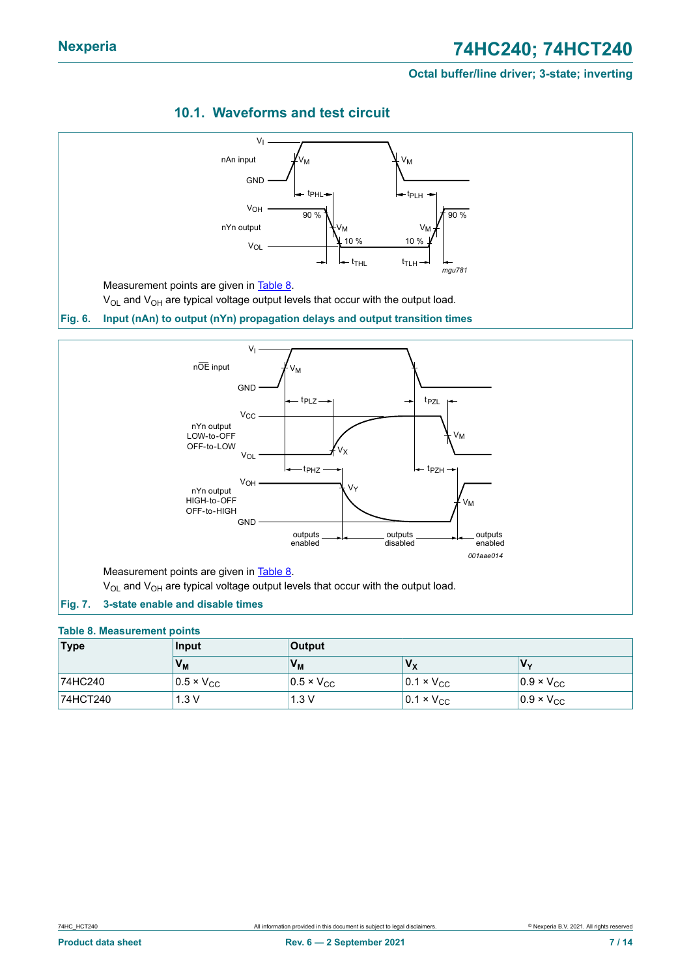### **Octal buffer/line driver; 3-state; inverting**

<span id="page-6-1"></span><span id="page-6-0"></span>

### <span id="page-6-3"></span>**10.1. Waveforms and test circuit**

<span id="page-6-2"></span>

| Table 0. Measurentent points<br>Type | Input               | <b>Output</b>       |                     |                     |  |  |  |
|--------------------------------------|---------------------|---------------------|---------------------|---------------------|--|--|--|
|                                      | Vм                  | Vм                  | $V_{\rm X}$         | $V_{\rm v}$         |  |  |  |
| 74HC240                              | $0.5 \times V_{CC}$ | $0.5 \times V_{CC}$ | $0.1 \times V_{CC}$ | $0.9 \times V_{CC}$ |  |  |  |
| 74HCT240                             | 1.3V                | 1.3V                | $0.1 \times V_{CC}$ | $0.9 \times V_{CC}$ |  |  |  |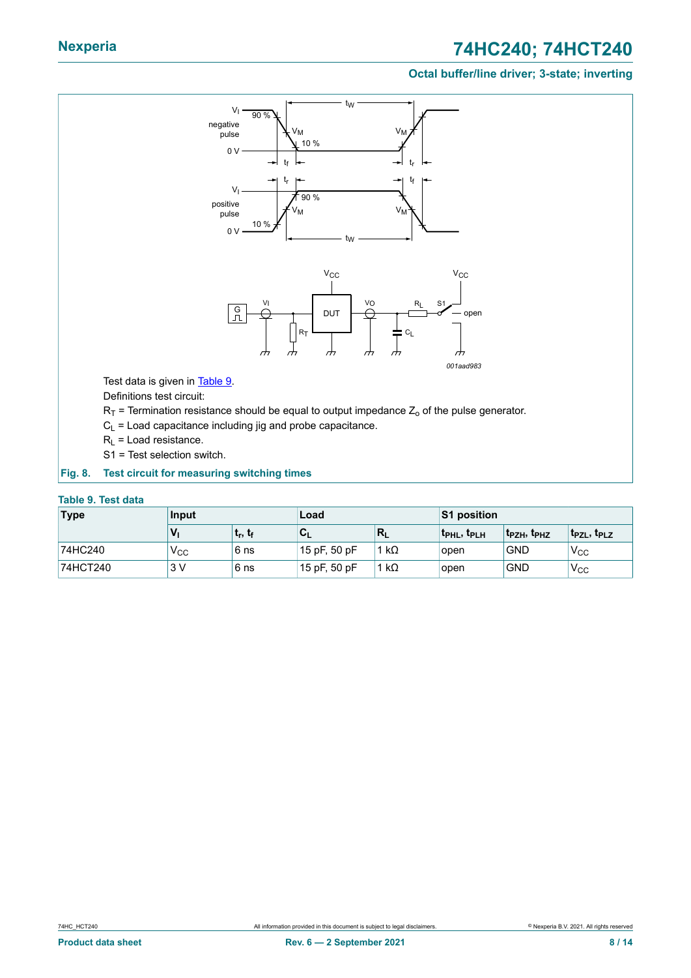### **Octal buffer/line driver; 3-state; inverting**

<span id="page-7-0"></span>

### <span id="page-7-1"></span>**Fig. 8. Test circuit for measuring switching times**

#### **Table 9. Test data**

| Type     | Input           |                 | Load         |                           | S1 position       |                                     |                       |  |
|----------|-----------------|-----------------|--------------|---------------------------|-------------------|-------------------------------------|-----------------------|--|
|          |                 | $ t_r, t_f$     |              | $\mathsf{R}_{\mathsf{L}}$ | <b>TPHL, TPLH</b> | t <sub>PZH</sub> , t <sub>PHZ</sub> | $t_{PZL}$ , $t_{PLZ}$ |  |
| 74HC240  | V <sub>CC</sub> | 6 <sub>ns</sub> | 15 pF, 50 pF | 1 k $\Omega$              | open              | <b>GND</b>                          | 'V <sub>CC</sub>      |  |
| 74HCT240 | 3V              | 6 <sub>ns</sub> | 15 pF, 50 pF | 1 k $\Omega$              | open              | <b>GND</b>                          | 'V <sub>CC</sub>      |  |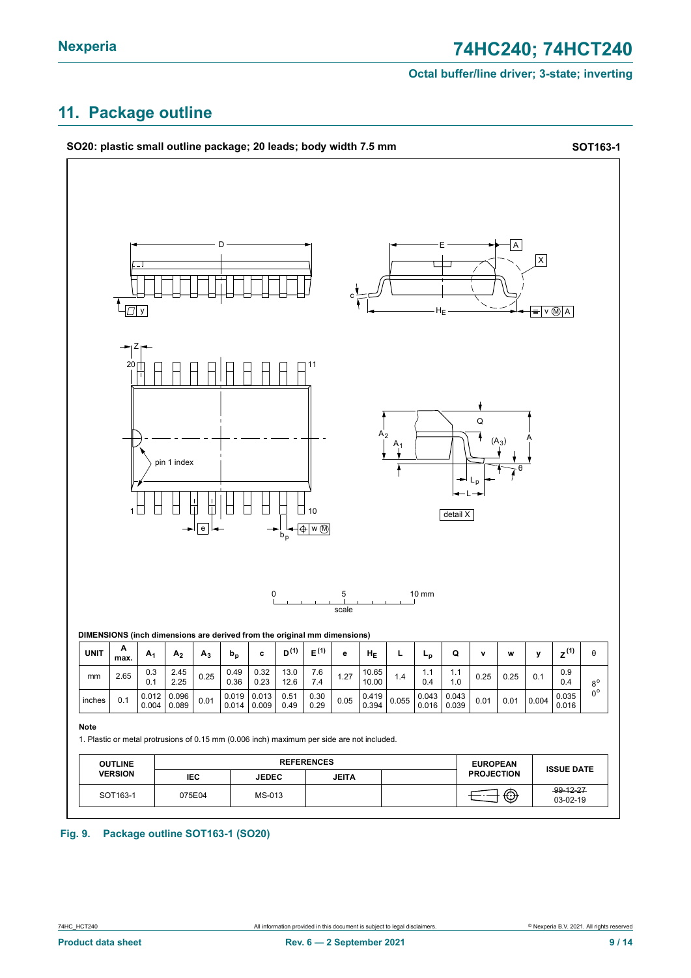### <span id="page-8-0"></span>**11. Package outline**



#### **Fig. 9. Package outline SOT163-1 (SO20)**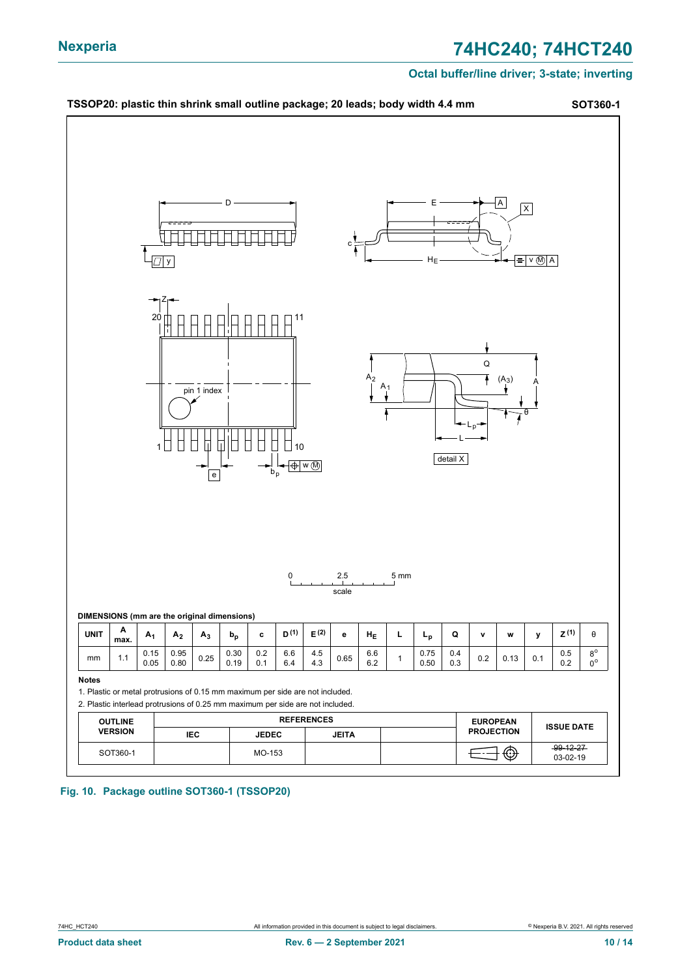### **Octal buffer/line driver; 3-state; inverting**



**Fig. 10. Package outline SOT360-1 (TSSOP20)**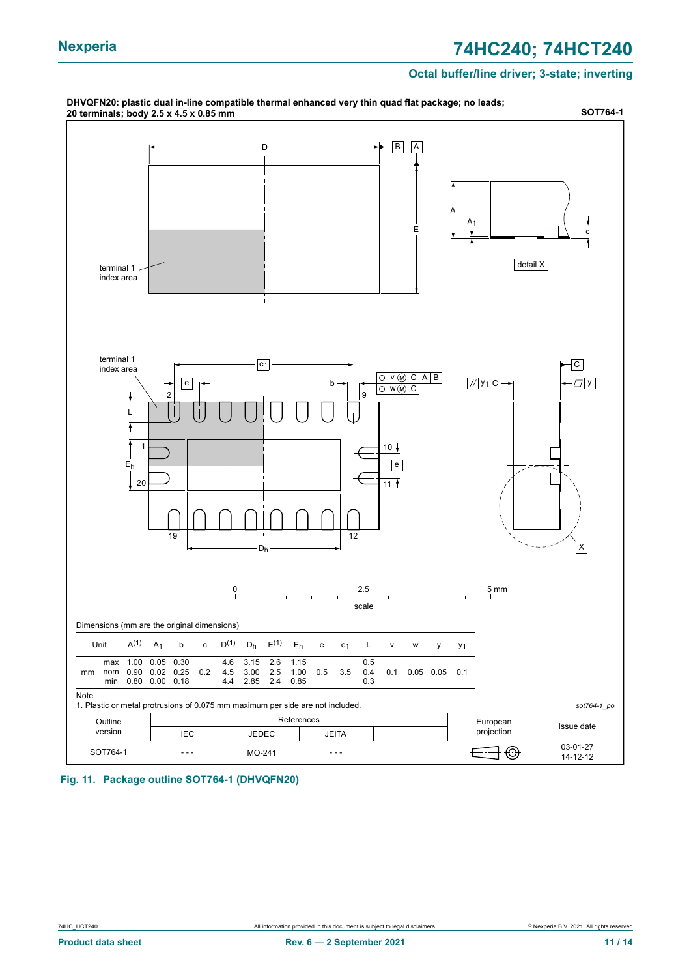### **Octal buffer/line driver; 3-state; inverting**



**Fig. 11. Package outline SOT764-1 (DHVQFN20)**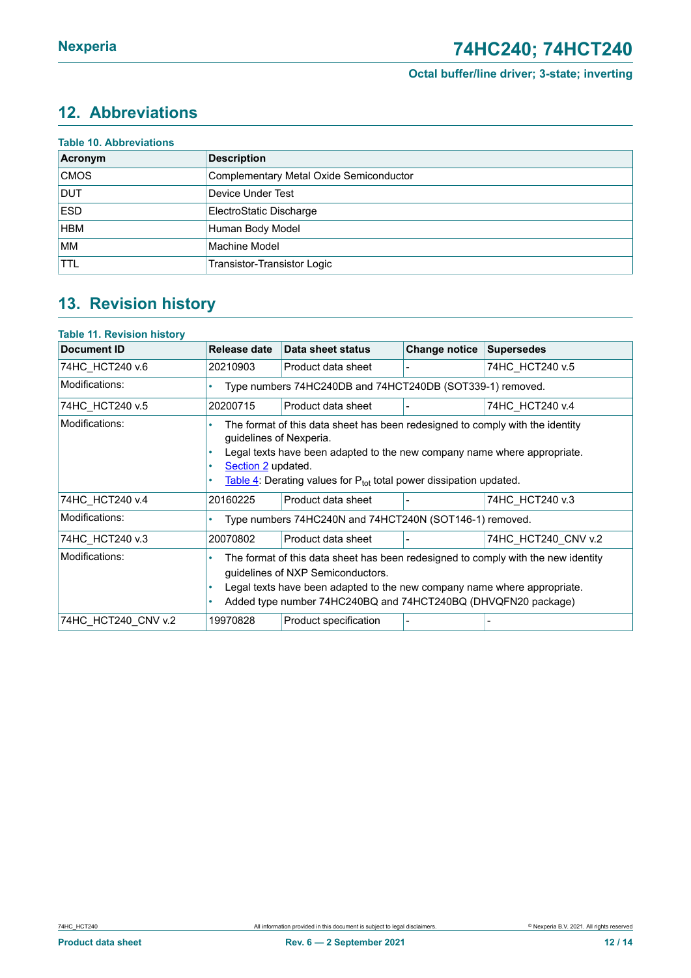### <span id="page-11-0"></span>**12. Abbreviations**

| <b>Table 10. Abbreviations</b> |                                         |  |  |  |  |  |
|--------------------------------|-----------------------------------------|--|--|--|--|--|
| Acronym                        | <b>Description</b>                      |  |  |  |  |  |
| <b>CMOS</b>                    | Complementary Metal Oxide Semiconductor |  |  |  |  |  |
| <b>DUT</b>                     | <b>Device Under Test</b>                |  |  |  |  |  |
| <b>ESD</b>                     | ElectroStatic Discharge                 |  |  |  |  |  |
| <b>HBM</b>                     | Human Body Model                        |  |  |  |  |  |
| <b>MM</b>                      | Machine Model                           |  |  |  |  |  |
| <b>TTL</b>                     | Transistor-Transistor Logic             |  |  |  |  |  |

# <span id="page-11-1"></span>**13. Revision history**

| <b>Table 11. Revision history</b> |                                                                                                                                                                                                                                                                               |                                                                         |                      |                     |  |  |  |  |  |  |
|-----------------------------------|-------------------------------------------------------------------------------------------------------------------------------------------------------------------------------------------------------------------------------------------------------------------------------|-------------------------------------------------------------------------|----------------------|---------------------|--|--|--|--|--|--|
| <b>Document ID</b>                | Release date                                                                                                                                                                                                                                                                  | Data sheet status                                                       | <b>Change notice</b> | <b>Supersedes</b>   |  |  |  |  |  |  |
| 74HC_HCT240 v.6                   | 20210903                                                                                                                                                                                                                                                                      | Product data sheet                                                      |                      | 74HC HCT240 v.5     |  |  |  |  |  |  |
| Modifications:                    |                                                                                                                                                                                                                                                                               | Type numbers 74HC240DB and 74HCT240DB (SOT339-1) removed.               |                      |                     |  |  |  |  |  |  |
| 74HC_HCT240 v.5                   | 20200715                                                                                                                                                                                                                                                                      | Product data sheet                                                      |                      | 74HC HCT240 v.4     |  |  |  |  |  |  |
| Modifications:                    | The format of this data sheet has been redesigned to comply with the identity<br>٠<br>guidelines of Nexperia.<br>Legal texts have been adapted to the new company name where appropriate.<br>٠<br>Section 2 updated.                                                          |                                                                         |                      |                     |  |  |  |  |  |  |
|                                   |                                                                                                                                                                                                                                                                               | Table 4: Derating values for $P_{tot}$ total power dissipation updated. |                      |                     |  |  |  |  |  |  |
| 74HC_HCT240 v.4                   | 20160225                                                                                                                                                                                                                                                                      | Product data sheet                                                      |                      | 74HC HCT240 v.3     |  |  |  |  |  |  |
| Modifications:                    |                                                                                                                                                                                                                                                                               | Type numbers 74HC240N and 74HCT240N (SOT146-1) removed.                 |                      |                     |  |  |  |  |  |  |
| 74HC HCT240 v.3                   | 20070802                                                                                                                                                                                                                                                                      | Product data sheet                                                      |                      | 74HC HCT240 CNV v.2 |  |  |  |  |  |  |
| Modifications:                    | The format of this data sheet has been redesigned to comply with the new identity<br>٠<br>guidelines of NXP Semiconductors.<br>Legal texts have been adapted to the new company name where appropriate.<br>٠<br>Added type number 74HC240BQ and 74HCT240BQ (DHVQFN20 package) |                                                                         |                      |                     |  |  |  |  |  |  |
| 74HC_HCT240_CNV v.2               | 19970828                                                                                                                                                                                                                                                                      | Product specification                                                   |                      |                     |  |  |  |  |  |  |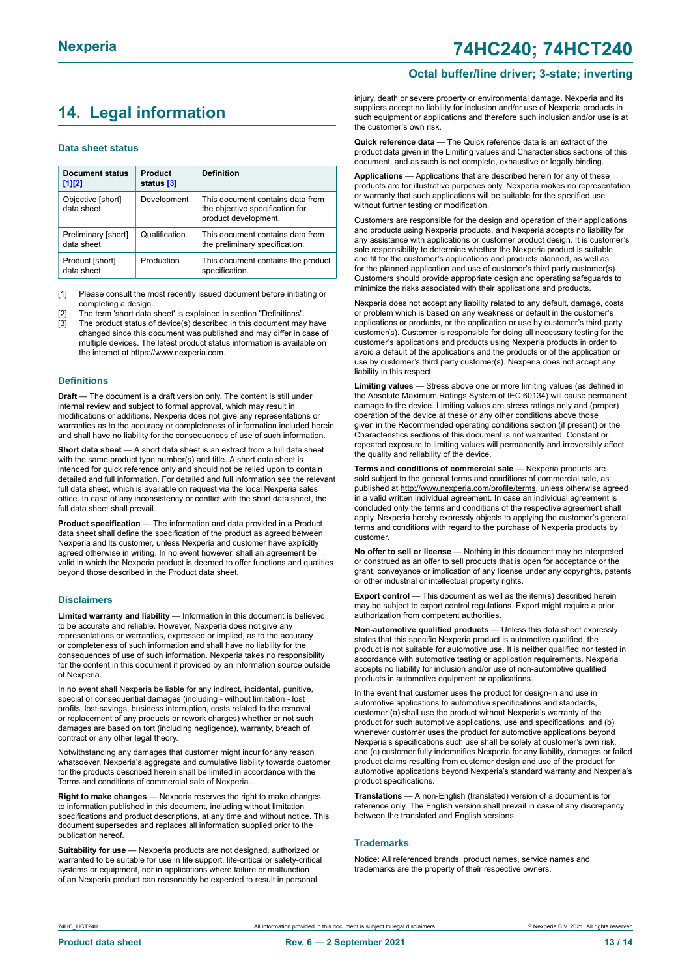### <span id="page-12-0"></span>**14. Legal information**

#### **Data sheet status**

| Document status<br>$[1]$ [2]      | Product<br>status [3] | <b>Definition</b>                                                                           |
|-----------------------------------|-----------------------|---------------------------------------------------------------------------------------------|
| Objective [short]<br>data sheet   | Development           | This document contains data from<br>the objective specification for<br>product development. |
| Preliminary [short]<br>data sheet | Qualification         | This document contains data from<br>the preliminary specification.                          |
| Product [short]<br>data sheet     | Production            | This document contains the product<br>specification.                                        |

[1] Please consult the most recently issued document before initiating or completing a design.

- The term 'short data sheet' is explained in section "Definitions".
- [3] The product status of device(s) described in this document may have changed since this document was published and may differ in case of multiple devices. The latest product status information is available on the internet at [https://www.nexperia.com.](https://www.nexperia.com)

#### **Definitions**

**Draft** — The document is a draft version only. The content is still under internal review and subject to formal approval, which may result in modifications or additions. Nexperia does not give any representations or warranties as to the accuracy or completeness of information included herein and shall have no liability for the consequences of use of such information.

**Short data sheet** — A short data sheet is an extract from a full data sheet with the same product type number(s) and title. A short data sheet is intended for quick reference only and should not be relied upon to contain detailed and full information. For detailed and full information see the relevant full data sheet, which is available on request via the local Nexperia sales office. In case of any inconsistency or conflict with the short data sheet, the full data sheet shall prevail.

**Product specification** — The information and data provided in a Product data sheet shall define the specification of the product as agreed between Nexperia and its customer, unless Nexperia and customer have explicitly agreed otherwise in writing. In no event however, shall an agreement be valid in which the Nexperia product is deemed to offer functions and qualities beyond those described in the Product data sheet.

#### **Disclaimers**

**Limited warranty and liability** — Information in this document is believed to be accurate and reliable. However, Nexperia does not give any representations or warranties, expressed or implied, as to the accuracy or completeness of such information and shall have no liability for the consequences of use of such information. Nexperia takes no responsibility for the content in this document if provided by an information source outside of Nexperia.

In no event shall Nexperia be liable for any indirect, incidental, punitive, special or consequential damages (including - without limitation - lost profits, lost savings, business interruption, costs related to the removal or replacement of any products or rework charges) whether or not such damages are based on tort (including negligence), warranty, breach of contract or any other legal theory.

Notwithstanding any damages that customer might incur for any reason whatsoever, Nexperia's aggregate and cumulative liability towards customer for the products described herein shall be limited in accordance with the Terms and conditions of commercial sale of Nexperia.

**Right to make changes** — Nexperia reserves the right to make changes to information published in this document, including without limitation specifications and product descriptions, at any time and without notice. This document supersedes and replaces all information supplied prior to the publication hereof

**Suitability for use** — Nexperia products are not designed, authorized or warranted to be suitable for use in life support, life-critical or safety-critical systems or equipment, nor in applications where failure or malfunction of an Nexperia product can reasonably be expected to result in personal

#### **Octal buffer/line driver; 3-state; inverting**

injury, death or severe property or environmental damage. Nexperia and its suppliers accept no liability for inclusion and/or use of Nexperia products in such equipment or applications and therefore such inclusion and/or use is at the customer's own risk.

**Quick reference data** — The Quick reference data is an extract of the product data given in the Limiting values and Characteristics sections of this document, and as such is not complete, exhaustive or legally binding.

**Applications** — Applications that are described herein for any of these products are for illustrative purposes only. Nexperia makes no representation or warranty that such applications will be suitable for the specified use without further testing or modification.

Customers are responsible for the design and operation of their applications and products using Nexperia products, and Nexperia accepts no liability for any assistance with applications or customer product design. It is customer's sole responsibility to determine whether the Nexperia product is suitable and fit for the customer's applications and products planned, as well as for the planned application and use of customer's third party customer(s). Customers should provide appropriate design and operating safeguards to minimize the risks associated with their applications and products.

Nexperia does not accept any liability related to any default, damage, costs or problem which is based on any weakness or default in the customer's applications or products, or the application or use by customer's third party customer(s). Customer is responsible for doing all necessary testing for the customer's applications and products using Nexperia products in order to avoid a default of the applications and the products or of the application or use by customer's third party customer(s). Nexperia does not accept any liability in this respect.

**Limiting values** — Stress above one or more limiting values (as defined in the Absolute Maximum Ratings System of IEC 60134) will cause permanent damage to the device. Limiting values are stress ratings only and (proper) operation of the device at these or any other conditions above those given in the Recommended operating conditions section (if present) or the Characteristics sections of this document is not warranted. Constant or repeated exposure to limiting values will permanently and irreversibly affect the quality and reliability of the device.

**Terms and conditions of commercial sale** — Nexperia products are sold subject to the general terms and conditions of commercial sale, as published at [http://www.nexperia.com/profile/terms,](http://www.nexperia.com/profile/terms) unless otherwise agreed in a valid written individual agreement. In case an individual agreement is concluded only the terms and conditions of the respective agreement shall apply. Nexperia hereby expressly objects to applying the customer's general terms and conditions with regard to the purchase of Nexperia products by customer.

**No offer to sell or license** — Nothing in this document may be interpreted or construed as an offer to sell products that is open for acceptance or the grant, conveyance or implication of any license under any copyrights, patents or other industrial or intellectual property rights.

**Export control** — This document as well as the item(s) described herein may be subject to export control regulations. Export might require a prior authorization from competent authorities.

**Non-automotive qualified products** — Unless this data sheet expressly states that this specific Nexperia product is automotive qualified, the product is not suitable for automotive use. It is neither qualified nor tested in accordance with automotive testing or application requirements. Nexperia accepts no liability for inclusion and/or use of non-automotive qualified products in automotive equipment or applications.

In the event that customer uses the product for design-in and use in automotive applications to automotive specifications and standards, customer (a) shall use the product without Nexperia's warranty of the product for such automotive applications, use and specifications, and (b) whenever customer uses the product for automotive applications beyond Nexperia's specifications such use shall be solely at customer's own risk, and (c) customer fully indemnifies Nexperia for any liability, damages or failed product claims resulting from customer design and use of the product for automotive applications beyond Nexperia's standard warranty and Nexperia's product specifications.

**Translations** — A non-English (translated) version of a document is for reference only. The English version shall prevail in case of any discrepancy between the translated and English versions.

#### **Trademarks**

Notice: All referenced brands, product names, service names and trademarks are the property of their respective owners.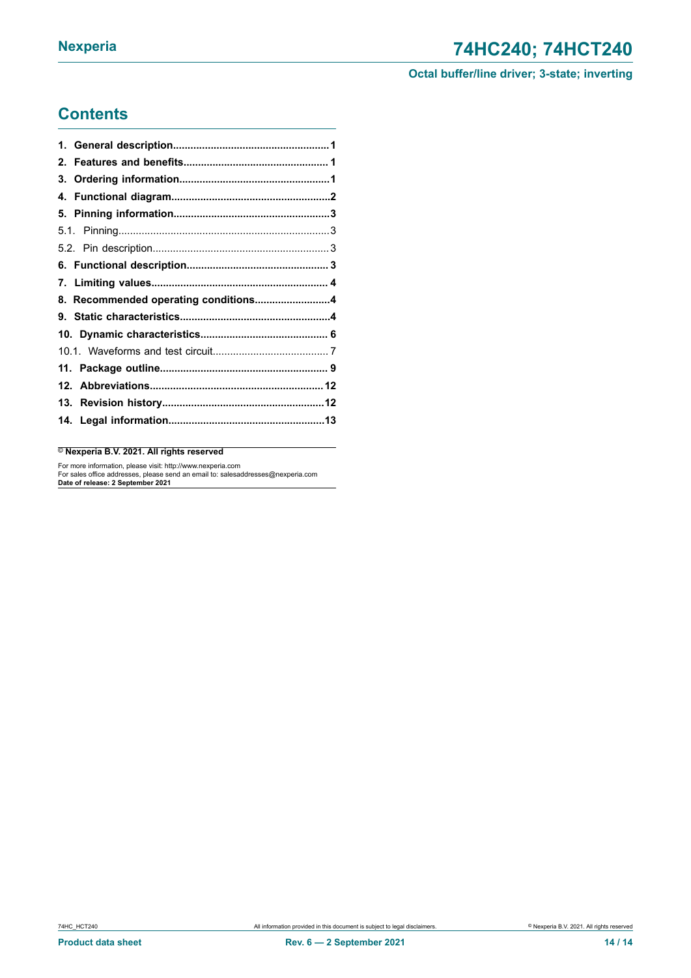### **Contents**

| 8. Recommended operating conditions4 |  |
|--------------------------------------|--|
|                                      |  |
|                                      |  |
|                                      |  |
|                                      |  |
|                                      |  |
|                                      |  |
|                                      |  |
|                                      |  |

### © **Nexperia B.V. 2021. All rights reserved**

For more information, please visit: http://www.nexperia.com For sales office addresses, please send an email to: salesaddresses@nexperia.com **Date of release: 2 September 2021**